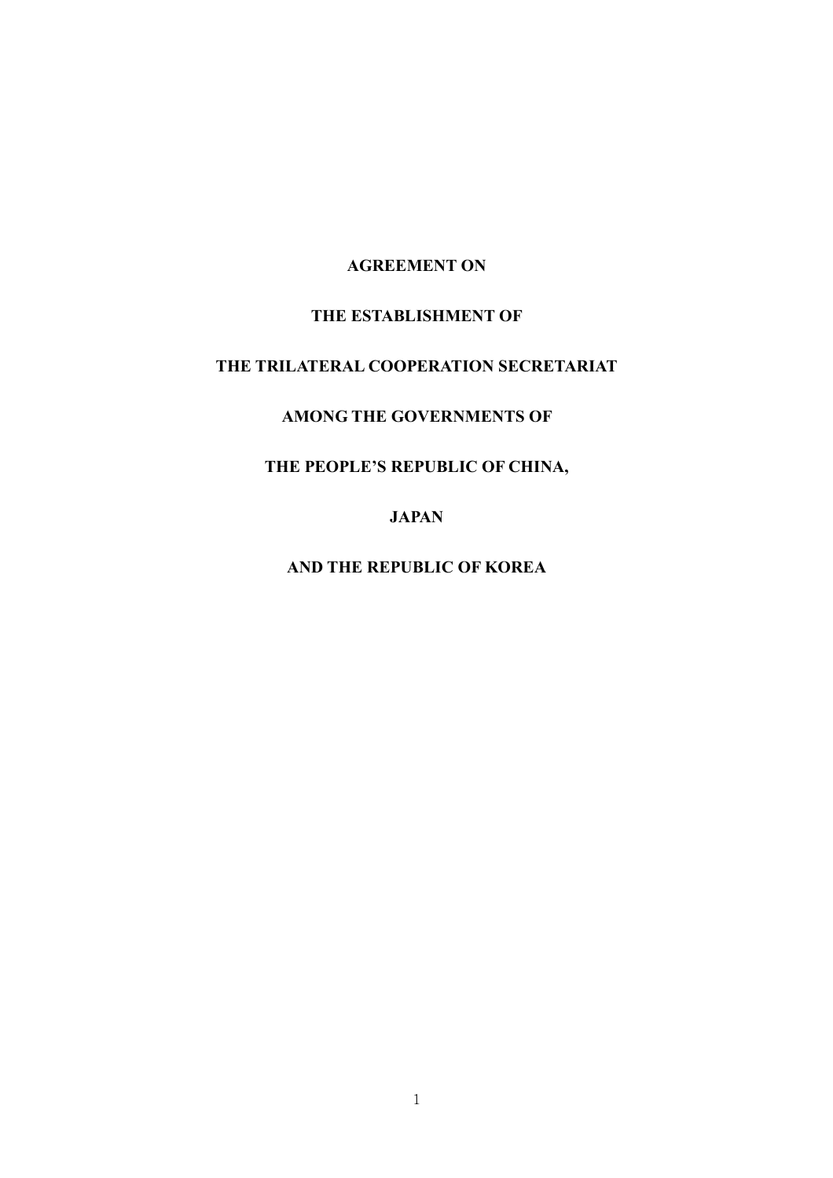#### AGREEMENT ON

## THE ESTABLISHMENT OF

# THE TRILATERAL COOPERATION SECRETARIAT

# AMONG THE GOVERNMENTS OF

# THE PEOPLE'S REPUBLIC OF CHINA,

JAPAN

AND THE REPUBLIC OF KOREA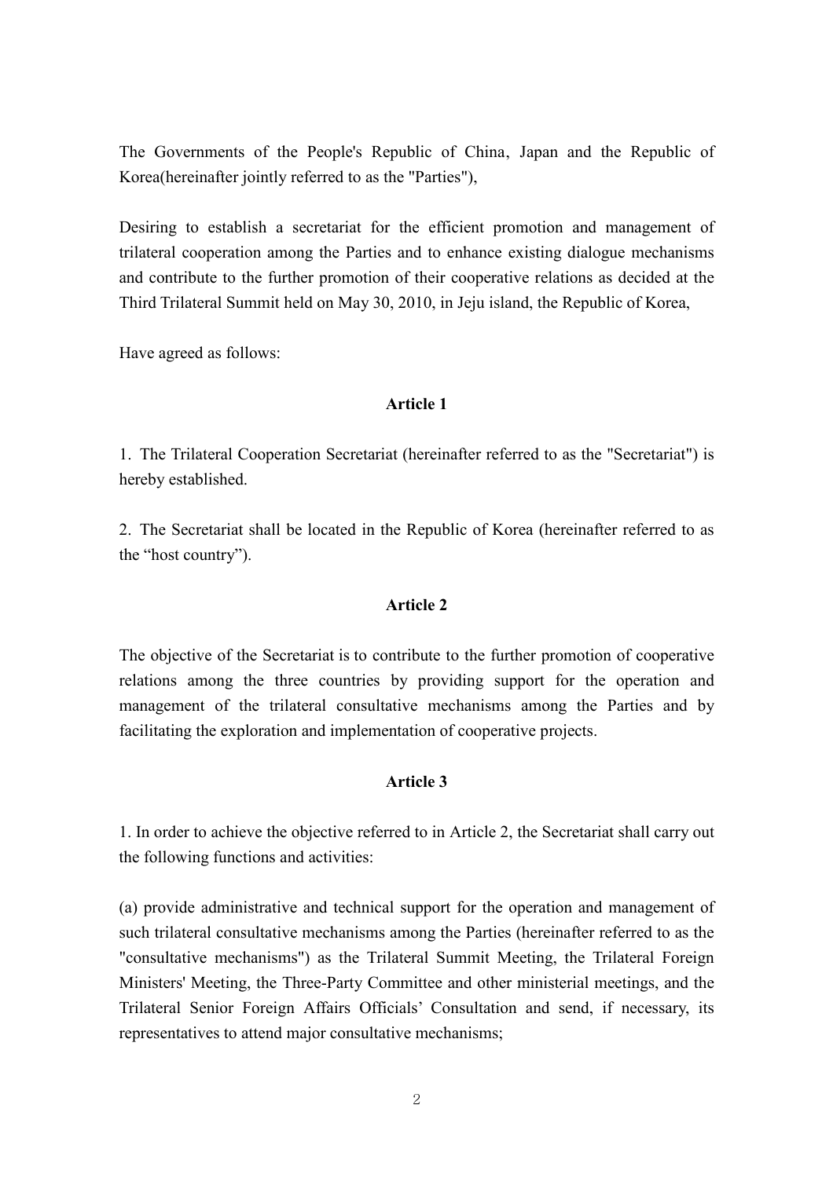The Governments of the People's Republic of China, Japan and the Republic of Korea(hereinafter jointly referred to as the "Parties"),

Desiring to establish a secretariat for the efficient promotion and management of trilateral cooperation among the Parties and to enhance existing dialogue mechanisms and contribute to the further promotion of their cooperative relations as decided at the Third Trilateral Summit held on May 30, 2010, in Jeju island, the Republic of Korea,

Have agreed as follows:

#### Article 1

1. The Trilateral Cooperation Secretariat (hereinafter referred to as the "Secretariat") is hereby established.

2. The Secretariat shall be located in the Republic of Korea (hereinafter referred to as the "host country").

# Article 2

The objective of the Secretariat is to contribute to the further promotion of cooperative relations among the three countries by providing support for the operation and management of the trilateral consultative mechanisms among the Parties and by facilitating the exploration and implementation of cooperative projects.

# Article 3

1. In order to achieve the objective referred to in Article 2, the Secretariat shall carry out the following functions and activities:

(a) provide administrative and technical support for the operation and management of such trilateral consultative mechanisms among the Parties (hereinafter referred to as the "consultative mechanisms") as the Trilateral Summit Meeting, the Trilateral Foreign Ministers' Meeting, the Three-Party Committee and other ministerial meetings, and the Trilateral Senior Foreign Affairs Officials' Consultation and send, if necessary, its representatives to attend major consultative mechanisms;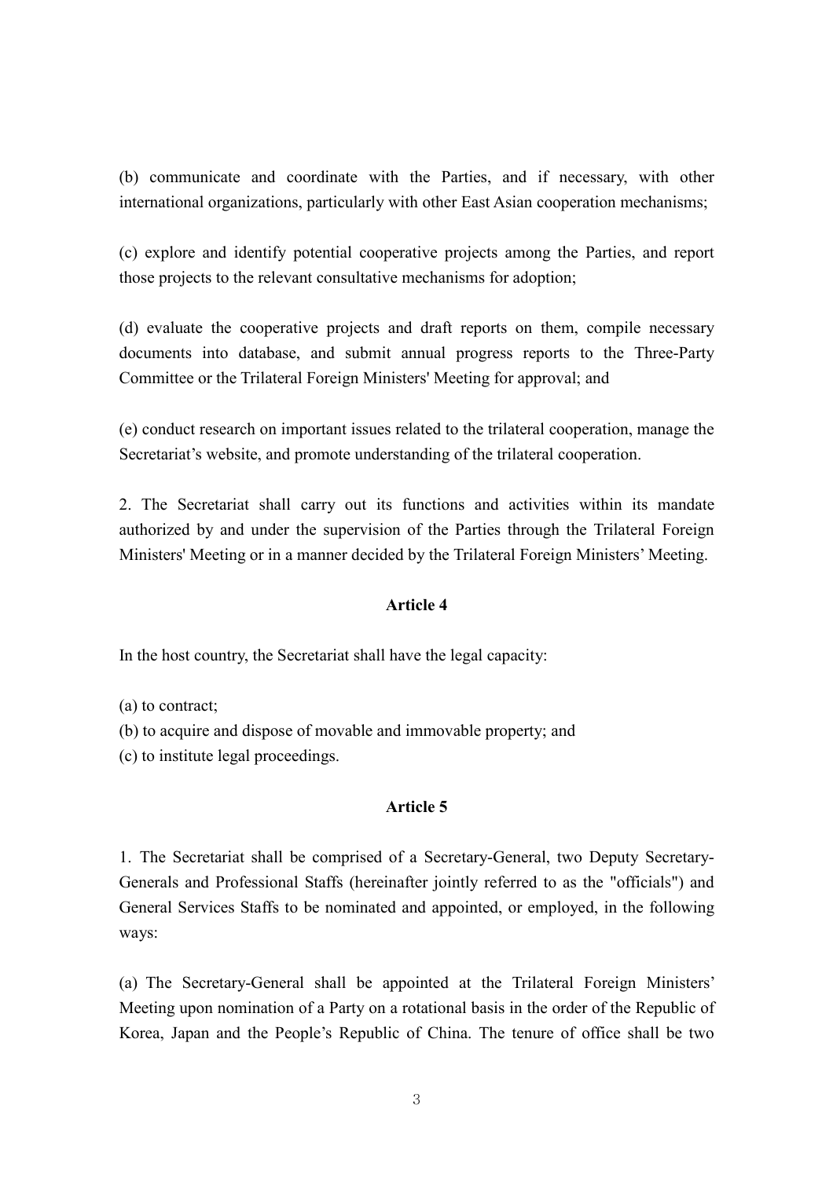(b) communicate and coordinate with the Parties, and if necessary, with other international organizations, particularly with other East Asian cooperation mechanisms;

(c) explore and identify potential cooperative projects among the Parties, and report those projects to the relevant consultative mechanisms for adoption;

(d) evaluate the cooperative projects and draft reports on them, compile necessary documents into database, and submit annual progress reports to the Three-Party Committee or the Trilateral Foreign Ministers' Meeting for approval; and

(e) conduct research on important issues related to the trilateral cooperation, manage the Secretariat's website, and promote understanding of the trilateral cooperation.

2. The Secretariat shall carry out its functions and activities within its mandate authorized by and under the supervision of the Parties through the Trilateral Foreign Ministers' Meeting or in a manner decided by the Trilateral Foreign Ministers' Meeting.

#### Article 4

In the host country, the Secretariat shall have the legal capacity:

(a) to contract;

(b) to acquire and dispose of movable and immovable property; and

(c) to institute legal proceedings.

#### Article 5

1. The Secretariat shall be comprised of a Secretary-General, two Deputy Secretary-Generals and Professional Staffs (hereinafter jointly referred to as the "officials") and General Services Staffs to be nominated and appointed, or employed, in the following ways:

(a) The Secretary-General shall be appointed at the Trilateral Foreign Ministers' Meeting upon nomination of a Party on a rotational basis in the order of the Republic of Korea, Japan and the People's Republic of China. The tenure of office shall be two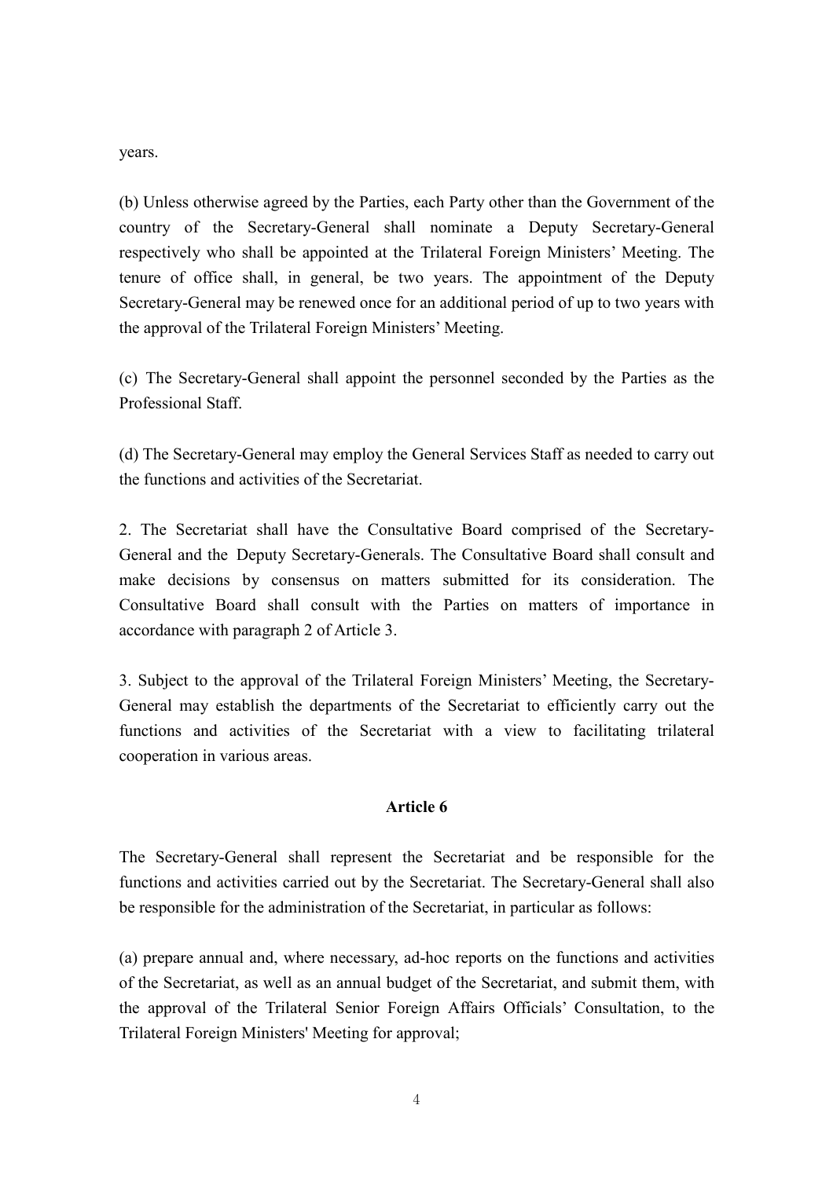years.

(b) Unless otherwise agreed by the Parties, each Party other than the Government of the country of the Secretary-General shall nominate a Deputy Secretary-General respectively who shall be appointed at the Trilateral Foreign Ministers' Meeting. The tenure of office shall, in general, be two years. The appointment of the Deputy Secretary-General may be renewed once for an additional period of up to two years with the approval of the Trilateral Foreign Ministers' Meeting.

(c) The Secretary-General shall appoint the personnel seconded by the Parties as the Professional Staff.

(d) The Secretary-General may employ the General Services Staff as needed to carry out the functions and activities of the Secretariat.

2. The Secretariat shall have the Consultative Board comprised of the Secretary-General and the Deputy Secretary-Generals. The Consultative Board shall consult and make decisions by consensus on matters submitted for its consideration. The Consultative Board shall consult with the Parties on matters of importance in accordance with paragraph 2 of Article 3.

3. Subject to the approval of the Trilateral Foreign Ministers' Meeting, the Secretary-General may establish the departments of the Secretariat to efficiently carry out the functions and activities of the Secretariat with a view to facilitating trilateral cooperation in various areas.

## Article 6

The Secretary-General shall represent the Secretariat and be responsible for the functions and activities carried out by the Secretariat. The Secretary-General shall also be responsible for the administration of the Secretariat, in particular as follows:

(a) prepare annual and, where necessary, ad-hoc reports on the functions and activities of the Secretariat, as well as an annual budget of the Secretariat, and submit them, with the approval of the Trilateral Senior Foreign Affairs Officials' Consultation, to the Trilateral Foreign Ministers' Meeting for approval;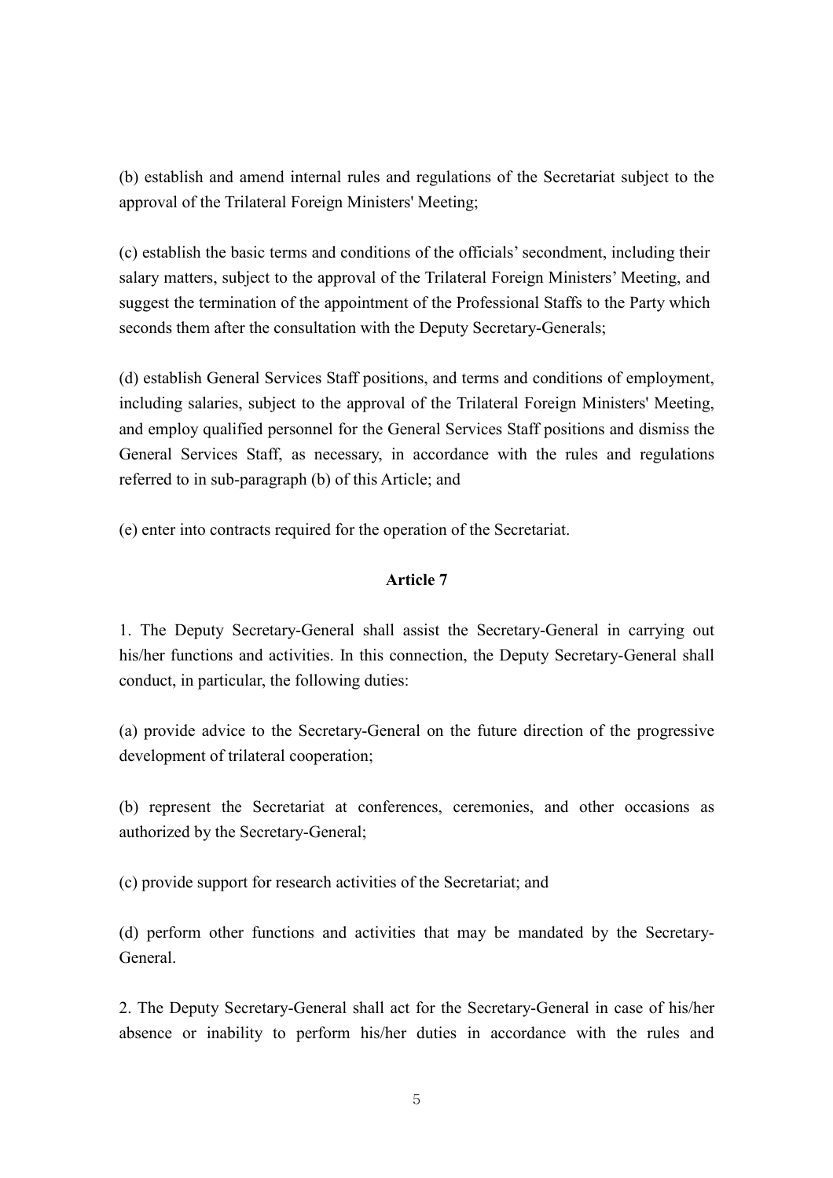(b) establish and amend internal rules and regulations of the Secretariat subject to the approval of the Trilateral Foreign Ministers' Meeting;

(c) establish the basic terms and conditions of the officials' secondment, including their salary matters, subject to the approval of the Trilateral Foreign Ministers' Meeting, and suggest the termination of the appointment of the Professional Staffs to the Party which seconds them after the consultation with the Deputy Secretary-Generals;

(d) establish General Services Staff positions, and terms and conditions of employment, including salaries, subject to the approval of the Trilateral Foreign Ministers' Meeting, and employ qualified personnel for the General Services Staff positions and dismiss the General Services Staff, as necessary, in accordance with the rules and regulations referred to in sub-paragraph (b) of this Article; and

(e) enter into contracts required for the operation of the Secretariat.

# Article 7

1. The Deputy Secretary-General shall assist the Secretary-General in carrying out his/her functions and activities. In this connection, the Deputy Secretary-General shall conduct, in particular, the following duties:

(a) provide advice to the Secretary-General on the future direction of the progressive development of trilateral cooperation;

(b) represent the Secretariat at conferences, ceremonies, and other occasions as authorized by the Secretary-General;

(c) provide support for research activities of the Secretariat; and

(d) perform other functions and activities that may be mandated by the Secretary-General.

2. The Deputy Secretary-General shall act for the Secretary-General in case of his/her absence or inability to perform his/her duties in accordance with the rules and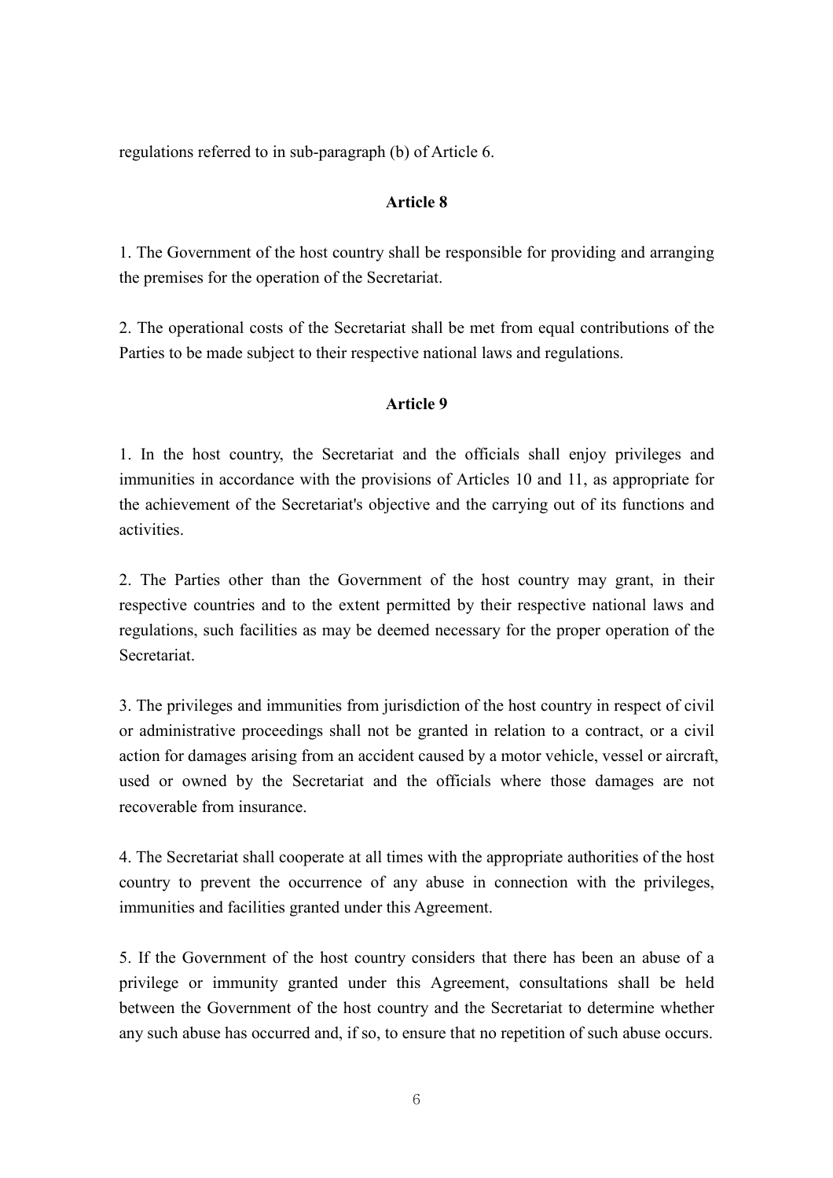regulations referred to in sub-paragraph (b) of Article 6.

### Article 8

1. The Government of the host country shall be responsible for providing and arranging the premises for the operation of the Secretariat.

2. The operational costs of the Secretariat shall be met from equal contributions of the Parties to be made subject to their respective national laws and regulations.

## Article 9

1. In the host country, the Secretariat and the officials shall enjoy privileges and immunities in accordance with the provisions of Articles 10 and 11, as appropriate for the achievement of the Secretariat's objective and the carrying out of its functions and activities.

2. The Parties other than the Government of the host country may grant, in their respective countries and to the extent permitted by their respective national laws and regulations, such facilities as may be deemed necessary for the proper operation of the **Secretariat** 

3. The privileges and immunities from jurisdiction of the host country in respect of civil or administrative proceedings shall not be granted in relation to a contract, or a civil action for damages arising from an accident caused by a motor vehicle, vessel or aircraft, used or owned by the Secretariat and the officials where those damages are not recoverable from insurance.

4. The Secretariat shall cooperate at all times with the appropriate authorities of the host country to prevent the occurrence of any abuse in connection with the privileges, immunities and facilities granted under this Agreement.

5. If the Government of the host country considers that there has been an abuse of a privilege or immunity granted under this Agreement, consultations shall be held between the Government of the host country and the Secretariat to determine whether any such abuse has occurred and, if so, to ensure that no repetition of such abuse occurs.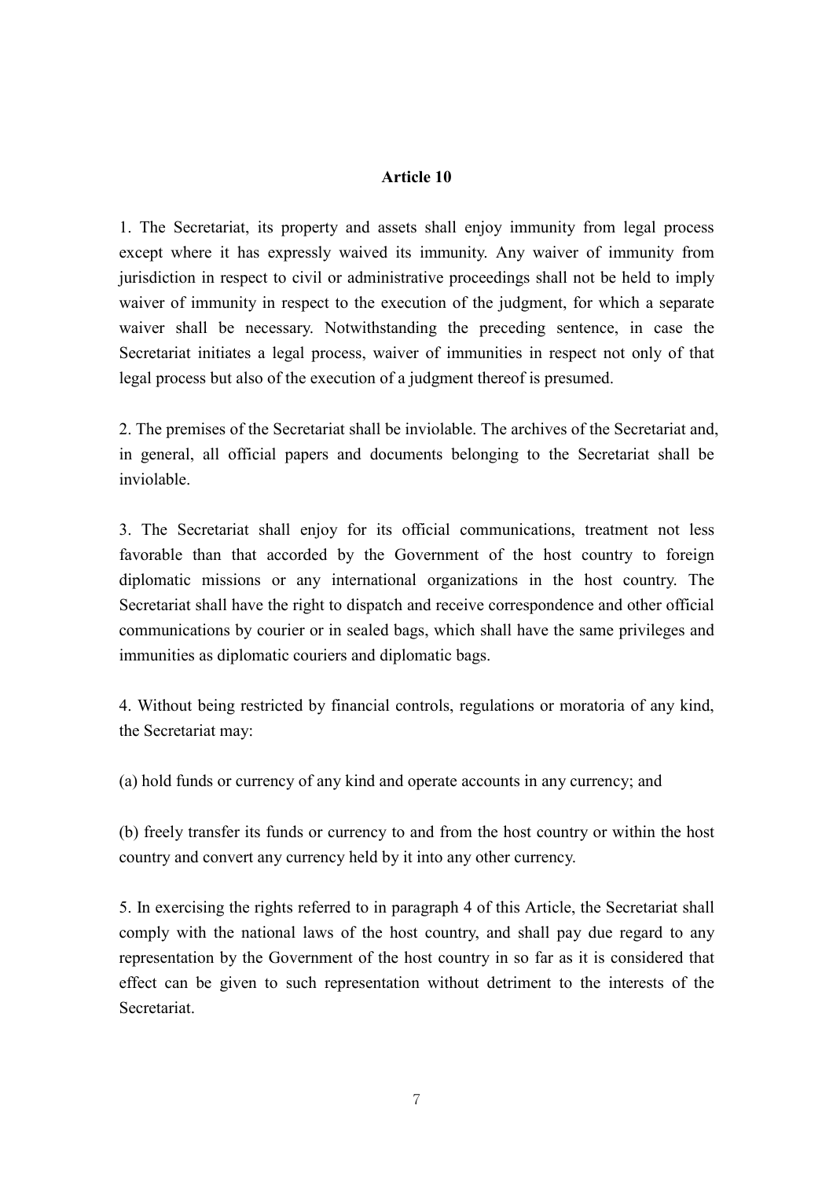### Article 10

1. The Secretariat, its property and assets shall enjoy immunity from legal process except where it has expressly waived its immunity. Any waiver of immunity from jurisdiction in respect to civil or administrative proceedings shall not be held to imply waiver of immunity in respect to the execution of the judgment, for which a separate waiver shall be necessary. Notwithstanding the preceding sentence, in case the Secretariat initiates a legal process, waiver of immunities in respect not only of that legal process but also of the execution of a judgment thereof is presumed.

2. The premises of the Secretariat shall be inviolable. The archives of the Secretariat and, in general, all official papers and documents belonging to the Secretariat shall be inviolable.

3. The Secretariat shall enjoy for its official communications, treatment not less favorable than that accorded by the Government of the host country to foreign diplomatic missions or any international organizations in the host country. The Secretariat shall have the right to dispatch and receive correspondence and other official communications by courier or in sealed bags, which shall have the same privileges and immunities as diplomatic couriers and diplomatic bags.

4. Without being restricted by financial controls, regulations or moratoria of any kind, the Secretariat may:

(a) hold funds or currency of any kind and operate accounts in any currency; and

(b) freely transfer its funds or currency to and from the host country or within the host country and convert any currency held by it into any other currency.

5. In exercising the rights referred to in paragraph 4 of this Article, the Secretariat shall comply with the national laws of the host country, and shall pay due regard to any representation by the Government of the host country in so far as it is considered that effect can be given to such representation without detriment to the interests of the **Secretariat**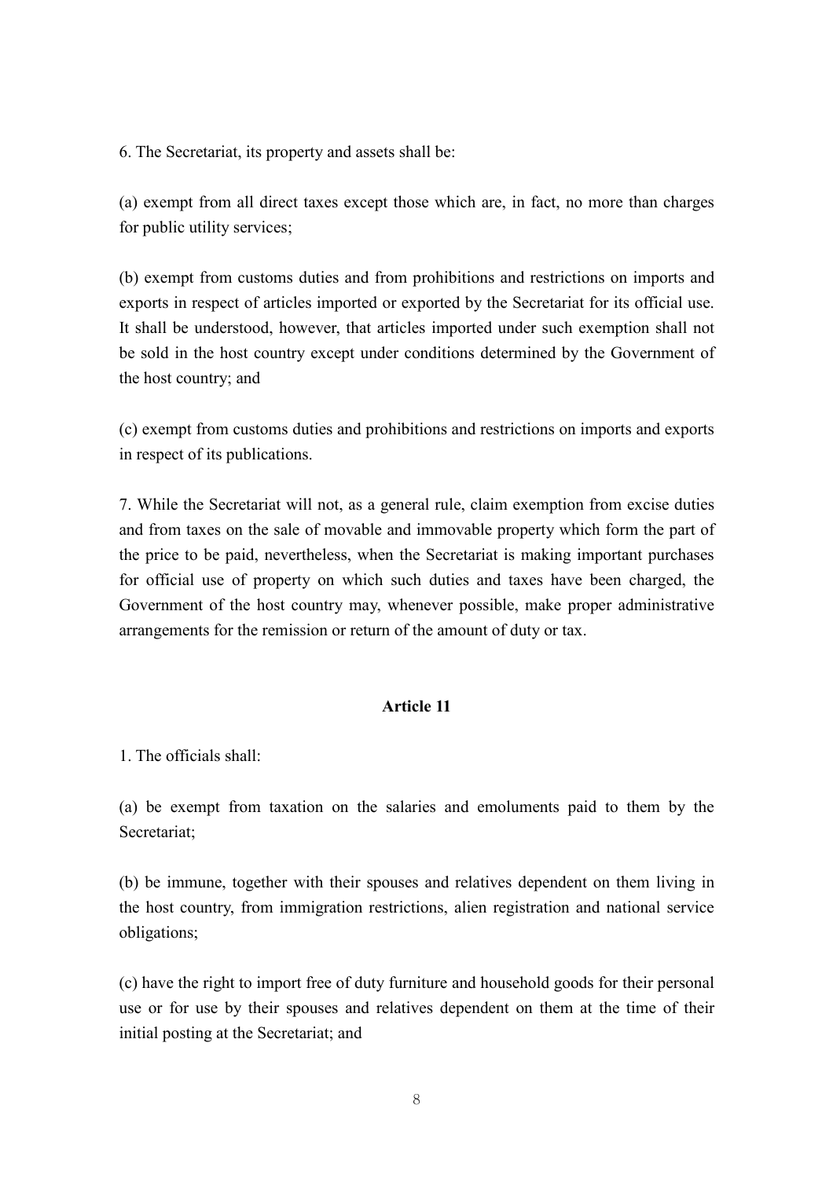6. The Secretariat, its property and assets shall be:

(a) exempt from all direct taxes except those which are, in fact, no more than charges for public utility services;

(b) exempt from customs duties and from prohibitions and restrictions on imports and exports in respect of articles imported or exported by the Secretariat for its official use. It shall be understood, however, that articles imported under such exemption shall not be sold in the host country except under conditions determined by the Government of the host country; and

(c) exempt from customs duties and prohibitions and restrictions on imports and exports in respect of its publications.

7. While the Secretariat will not, as a general rule, claim exemption from excise duties and from taxes on the sale of movable and immovable property which form the part of the price to be paid, nevertheless, when the Secretariat is making important purchases for official use of property on which such duties and taxes have been charged, the Government of the host country may, whenever possible, make proper administrative arrangements for the remission or return of the amount of duty or tax.

# Article 11

1. The officials shall:

(a) be exempt from taxation on the salaries and emoluments paid to them by the Secretariat;

(b) be immune, together with their spouses and relatives dependent on them living in the host country, from immigration restrictions, alien registration and national service obligations;

(c) have the right to import free of duty furniture and household goods for their personal use or for use by their spouses and relatives dependent on them at the time of their initial posting at the Secretariat; and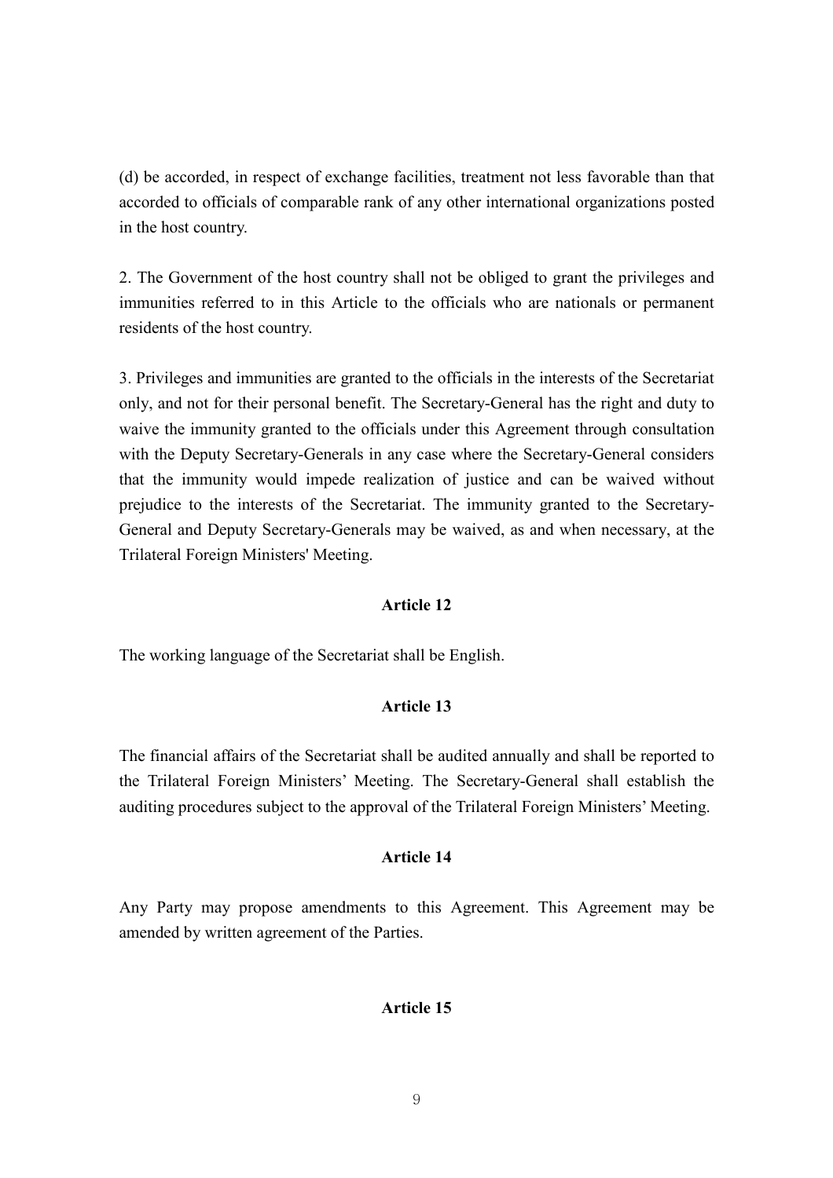(d) be accorded, in respect of exchange facilities, treatment not less favorable than that accorded to officials of comparable rank of any other international organizations posted in the host country.

2. The Government of the host country shall not be obliged to grant the privileges and immunities referred to in this Article to the officials who are nationals or permanent residents of the host country.

3. Privileges and immunities are granted to the officials in the interests of the Secretariat only, and not for their personal benefit. The Secretary-General has the right and duty to waive the immunity granted to the officials under this Agreement through consultation with the Deputy Secretary-Generals in any case where the Secretary-General considers that the immunity would impede realization of justice and can be waived without prejudice to the interests of the Secretariat. The immunity granted to the Secretary-General and Deputy Secretary-Generals may be waived, as and when necessary, at the Trilateral Foreign Ministers' Meeting.

## Article 12

The working language of the Secretariat shall be English.

#### Article 13

The financial affairs of the Secretariat shall be audited annually and shall be reported to the Trilateral Foreign Ministers' Meeting. The Secretary-General shall establish the auditing procedures subject to the approval of the Trilateral Foreign Ministers' Meeting.

#### Article 14

Any Party may propose amendments to this Agreement. This Agreement may be amended by written agreement of the Parties.

#### Article 15